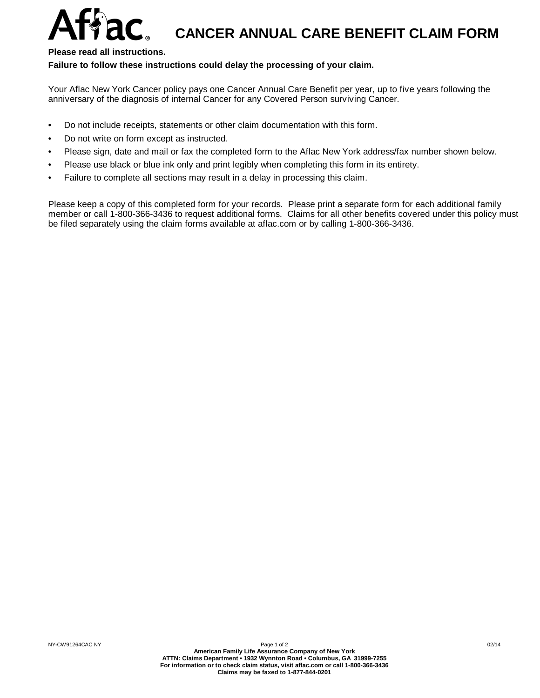## $Affac$ , cancer annual care benefit claim form

## **Please read all instructions.**

## **Failure to follow these instructions could delay the processing of your claim.**

Your Aflac New York Cancer policy pays one Cancer Annual Care Benefit per year, up to five years following the anniversary of the diagnosis of internal Cancer for any Covered Person surviving Cancer.

- Do not include receipts, statements or other claim documentation with this form.
- Do not write on form except as instructed.
- Please sign, date and mail or fax the completed form to the Aflac New York address/fax number shown below.
- Please use black or blue ink only and print legibly when completing this form in its entirety.
- Failure to complete all sections may result in a delay in processing this claim.

Please keep a copy of this completed form for your records. Please print a separate form foreach additional family member or call 1-800-366-3436 to request additional forms. Claims for all other benefits covered under this policy must be filed separately using the claim forms available at aflac.com or by calling 1-800-366-3436.